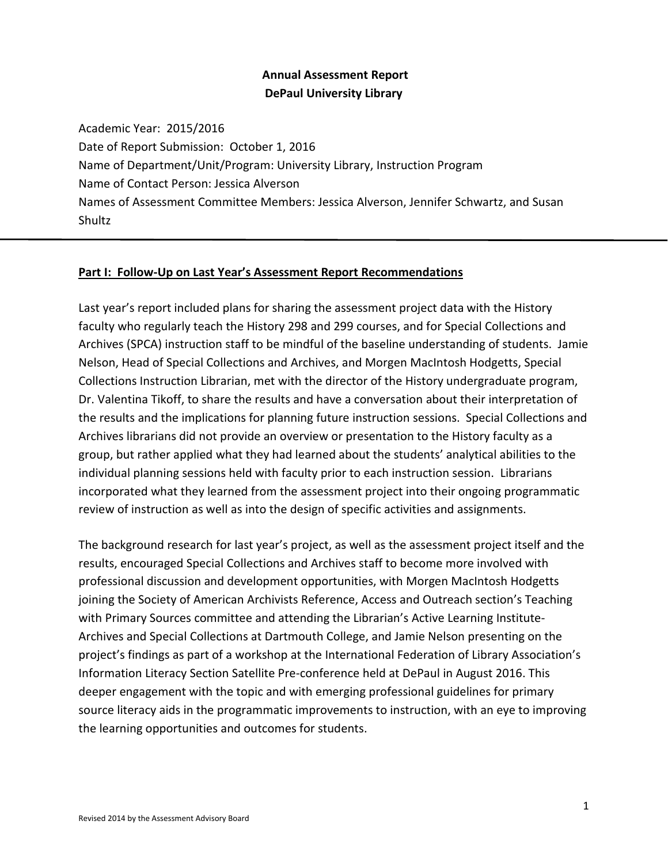# **Annual Assessment Report DePaul University Library**

Academic Year: 2015/2016 Date of Report Submission: October 1, 2016 Name of Department/Unit/Program: University Library, Instruction Program Name of Contact Person: Jessica Alverson Names of Assessment Committee Members: Jessica Alverson, Jennifer Schwartz, and Susan Shultz

### **Part I: Follow-Up on Last Year's Assessment Report Recommendations**

Last year's report included plans for sharing the assessment project data with the History faculty who regularly teach the History 298 and 299 courses, and for Special Collections and Archives (SPCA) instruction staff to be mindful of the baseline understanding of students. Jamie Nelson, Head of Special Collections and Archives, and Morgen MacIntosh Hodgetts, Special Collections Instruction Librarian, met with the director of the History undergraduate program, Dr. Valentina Tikoff, to share the results and have a conversation about their interpretation of the results and the implications for planning future instruction sessions. Special Collections and Archives librarians did not provide an overview or presentation to the History faculty as a group, but rather applied what they had learned about the students' analytical abilities to the individual planning sessions held with faculty prior to each instruction session. Librarians incorporated what they learned from the assessment project into their ongoing programmatic review of instruction as well as into the design of specific activities and assignments.

The background research for last year's project, as well as the assessment project itself and the results, encouraged Special Collections and Archives staff to become more involved with professional discussion and development opportunities, with Morgen MacIntosh Hodgetts joining the Society of American Archivists Reference, Access and Outreach section's Teaching with Primary Sources committee and attending the Librarian's Active Learning Institute-Archives and Special Collections at Dartmouth College, and Jamie Nelson presenting on the project's findings as part of a workshop at the International Federation of Library Association's Information Literacy Section Satellite Pre-conference held at DePaul in August 2016. This deeper engagement with the topic and with emerging professional guidelines for primary source literacy aids in the programmatic improvements to instruction, with an eye to improving the learning opportunities and outcomes for students.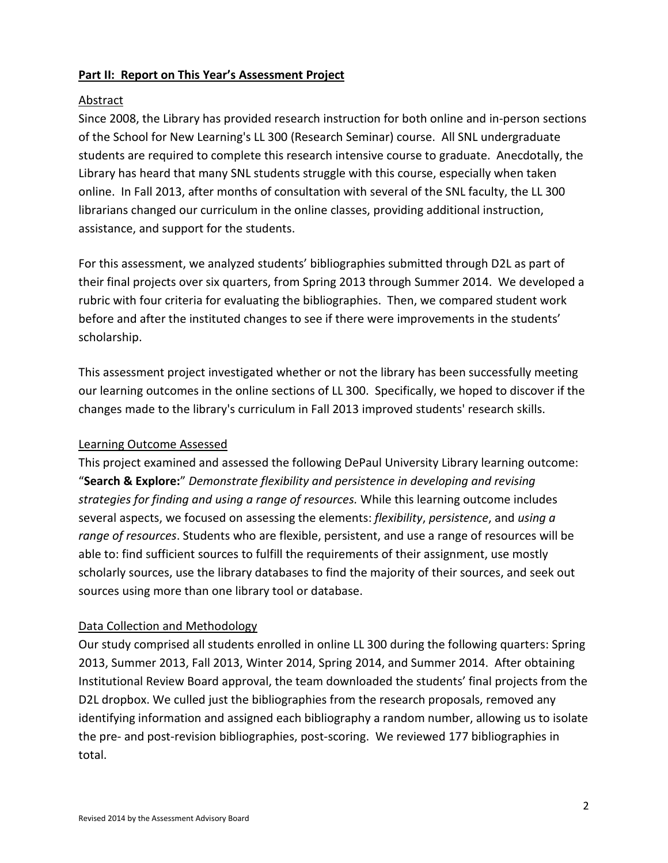## **Part II: Report on This Year's Assessment Project**

### Abstract

Since 2008, the Library has provided research instruction for both online and in-person sections of the School for New Learning's LL 300 (Research Seminar) course. All SNL undergraduate students are required to complete this research intensive course to graduate. Anecdotally, the Library has heard that many SNL students struggle with this course, especially when taken online. In Fall 2013, after months of consultation with several of the SNL faculty, the LL 300 librarians changed our curriculum in the online classes, providing additional instruction, assistance, and support for the students.

For this assessment, we analyzed students' bibliographies submitted through D2L as part of their final projects over six quarters, from Spring 2013 through Summer 2014. We developed a rubric with four criteria for evaluating the bibliographies. Then, we compared student work before and after the instituted changes to see if there were improvements in the students' scholarship.

This assessment project investigated whether or not the library has been successfully meeting our learning outcomes in the online sections of LL 300. Specifically, we hoped to discover if the changes made to the library's curriculum in Fall 2013 improved students' research skills.

## Learning Outcome Assessed

This project examined and assessed the following DePaul University Library learning outcome: "**Search & Explore:**" *Demonstrate flexibility and persistence in developing and revising strategies for finding and using a range of resources.* While this learning outcome includes several aspects, we focused on assessing the elements: *flexibility*, *persistence*, and *using a range of resources*. Students who are flexible, persistent, and use a range of resources will be able to: find sufficient sources to fulfill the requirements of their assignment, use mostly scholarly sources, use the library databases to find the majority of their sources, and seek out sources using more than one library tool or database.

## Data Collection and Methodology

Our study comprised all students enrolled in online LL 300 during the following quarters: Spring 2013, Summer 2013, Fall 2013, Winter 2014, Spring 2014, and Summer 2014. After obtaining Institutional Review Board approval, the team downloaded the students' final projects from the D2L dropbox. We culled just the bibliographies from the research proposals, removed any identifying information and assigned each bibliography a random number, allowing us to isolate the pre- and post-revision bibliographies, post-scoring. We reviewed 177 bibliographies in total.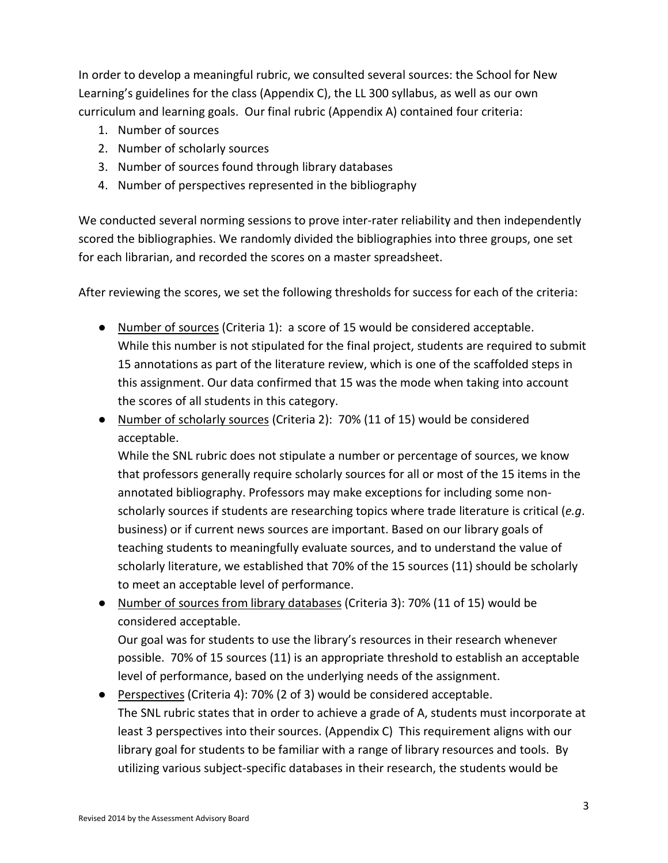In order to develop a meaningful rubric, we consulted several sources: the School for New Learning's guidelines for the class (Appendix C), the LL 300 syllabus, as well as our own curriculum and learning goals. Our final rubric (Appendix A) contained four criteria:

- 1. Number of sources
- 2. Number of scholarly sources
- 3. Number of sources found through library databases
- 4. Number of perspectives represented in the bibliography

We conducted several norming sessions to prove inter-rater reliability and then independently scored the bibliographies. We randomly divided the bibliographies into three groups, one set for each librarian, and recorded the scores on a master spreadsheet.

After reviewing the scores, we set the following thresholds for success for each of the criteria:

- Number of sources (Criteria 1): a score of 15 would be considered acceptable. While this number is not stipulated for the final project, students are required to submit 15 annotations as part of the literature review, which is one of the scaffolded steps in this assignment. Our data confirmed that 15 was the mode when taking into account the scores of all students in this category.
- Number of scholarly sources (Criteria 2): 70% (11 of 15) would be considered acceptable.

While the SNL rubric does not stipulate a number or percentage of sources, we know that professors generally require scholarly sources for all or most of the 15 items in the annotated bibliography. Professors may make exceptions for including some nonscholarly sources if students are researching topics where trade literature is critical (*e.g*. business) or if current news sources are important. Based on our library goals of teaching students to meaningfully evaluate sources, and to understand the value of scholarly literature, we established that 70% of the 15 sources (11) should be scholarly to meet an acceptable level of performance.

● Number of sources from library databases (Criteria 3): 70% (11 of 15) would be considered acceptable.

Our goal was for students to use the library's resources in their research whenever possible. 70% of 15 sources (11) is an appropriate threshold to establish an acceptable level of performance, based on the underlying needs of the assignment.

● Perspectives (Criteria 4): 70% (2 of 3) would be considered acceptable. The SNL rubric states that in order to achieve a grade of A, students must incorporate at least 3 perspectives into their sources. (Appendix C) This requirement aligns with our library goal for students to be familiar with a range of library resources and tools. By utilizing various subject-specific databases in their research, the students would be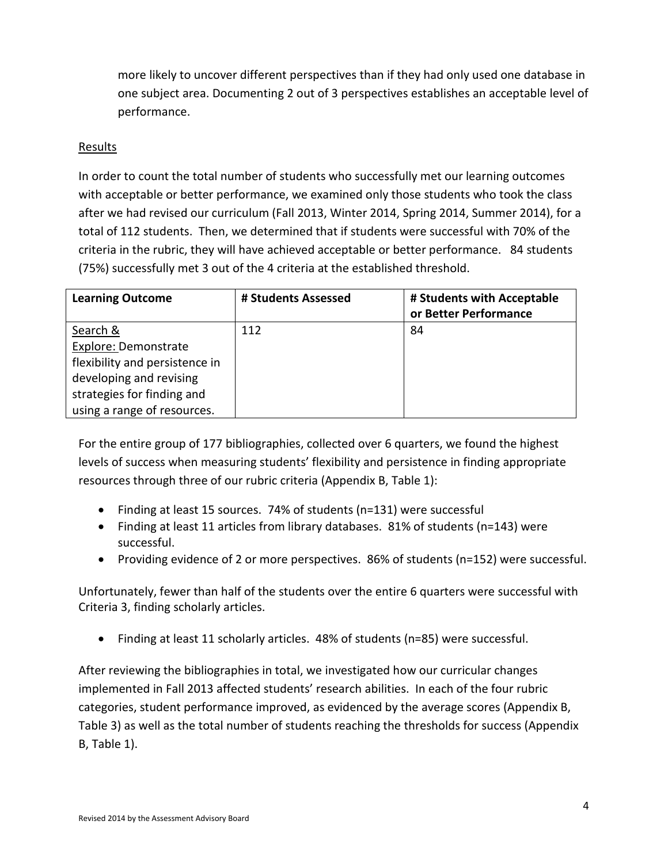more likely to uncover different perspectives than if they had only used one database in one subject area. Documenting 2 out of 3 perspectives establishes an acceptable level of performance.

### Results

In order to count the total number of students who successfully met our learning outcomes with acceptable or better performance, we examined only those students who took the class after we had revised our curriculum (Fall 2013, Winter 2014, Spring 2014, Summer 2014), for a total of 112 students. Then, we determined that if students were successful with 70% of the criteria in the rubric, they will have achieved acceptable or better performance. 84 students (75%) successfully met 3 out of the 4 criteria at the established threshold.

| <b>Learning Outcome</b>        | # Students Assessed | # Students with Acceptable<br>or Better Performance |
|--------------------------------|---------------------|-----------------------------------------------------|
| Search &                       | 112                 | 84                                                  |
| Explore: Demonstrate           |                     |                                                     |
| flexibility and persistence in |                     |                                                     |
| developing and revising        |                     |                                                     |
| strategies for finding and     |                     |                                                     |
| using a range of resources.    |                     |                                                     |

For the entire group of 177 bibliographies, collected over 6 quarters, we found the highest levels of success when measuring students' flexibility and persistence in finding appropriate resources through three of our rubric criteria (Appendix B, Table 1):

- Finding at least 15 sources. 74% of students (n=131) were successful
- Finding at least 11 articles from library databases. 81% of students (n=143) were successful.
- Providing evidence of 2 or more perspectives. 86% of students (n=152) were successful.

Unfortunately, fewer than half of the students over the entire 6 quarters were successful with Criteria 3, finding scholarly articles.

• Finding at least 11 scholarly articles. 48% of students (n=85) were successful.

After reviewing the bibliographies in total, we investigated how our curricular changes implemented in Fall 2013 affected students' research abilities. In each of the four rubric categories, student performance improved, as evidenced by the average scores (Appendix B, Table 3) as well as the total number of students reaching the thresholds for success (Appendix B, Table 1).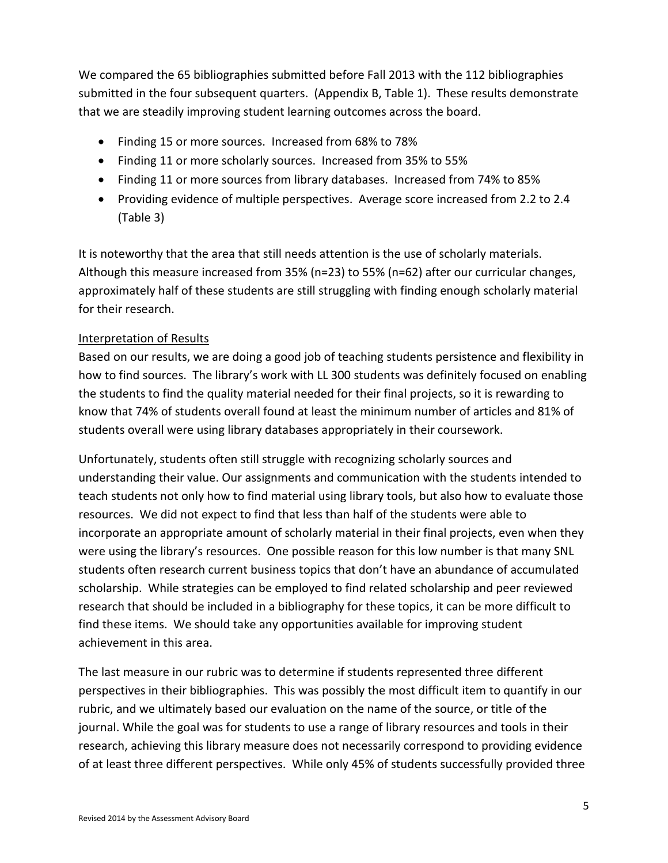We compared the 65 bibliographies submitted before Fall 2013 with the 112 bibliographies submitted in the four subsequent quarters. (Appendix B, Table 1). These results demonstrate that we are steadily improving student learning outcomes across the board.

- Finding 15 or more sources. Increased from 68% to 78%
- Finding 11 or more scholarly sources. Increased from 35% to 55%
- Finding 11 or more sources from library databases. Increased from 74% to 85%
- Providing evidence of multiple perspectives. Average score increased from 2.2 to 2.4 (Table 3)

It is noteworthy that the area that still needs attention is the use of scholarly materials. Although this measure increased from 35% (n=23) to 55% (n=62) after our curricular changes, approximately half of these students are still struggling with finding enough scholarly material for their research.

# Interpretation of Results

Based on our results, we are doing a good job of teaching students persistence and flexibility in how to find sources. The library's work with LL 300 students was definitely focused on enabling the students to find the quality material needed for their final projects, so it is rewarding to know that 74% of students overall found at least the minimum number of articles and 81% of students overall were using library databases appropriately in their coursework.

Unfortunately, students often still struggle with recognizing scholarly sources and understanding their value. Our assignments and communication with the students intended to teach students not only how to find material using library tools, but also how to evaluate those resources. We did not expect to find that less than half of the students were able to incorporate an appropriate amount of scholarly material in their final projects, even when they were using the library's resources. One possible reason for this low number is that many SNL students often research current business topics that don't have an abundance of accumulated scholarship. While strategies can be employed to find related scholarship and peer reviewed research that should be included in a bibliography for these topics, it can be more difficult to find these items. We should take any opportunities available for improving student achievement in this area.

The last measure in our rubric was to determine if students represented three different perspectives in their bibliographies. This was possibly the most difficult item to quantify in our rubric, and we ultimately based our evaluation on the name of the source, or title of the journal. While the goal was for students to use a range of library resources and tools in their research, achieving this library measure does not necessarily correspond to providing evidence of at least three different perspectives. While only 45% of students successfully provided three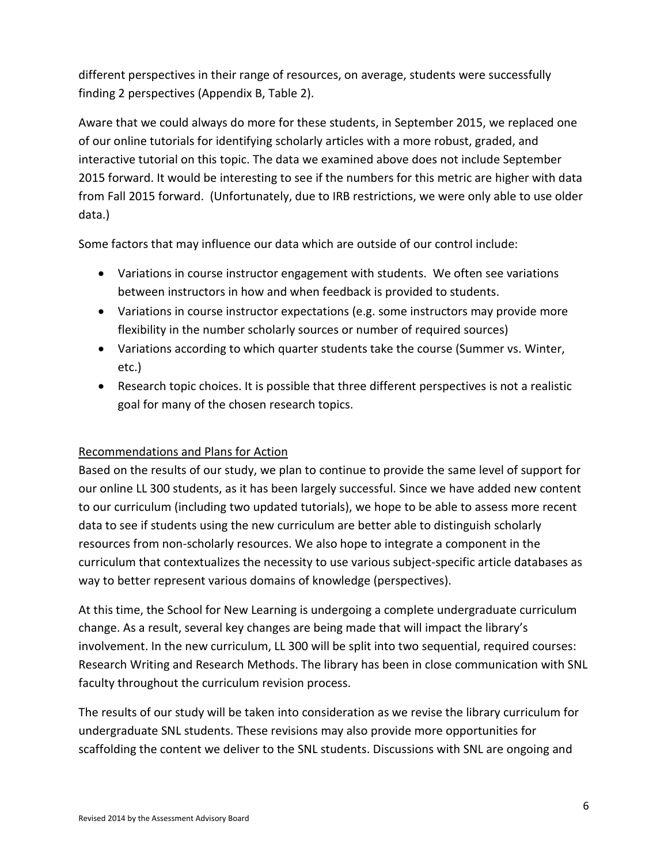different perspectives in their range of resources, on average, students were successfully finding 2 perspectives (Appendix B, Table 2).

Aware that we could always do more for these students, in September 2015, we replaced one of our online tutorials for identifying scholarly articles with a more robust, graded, and interactive tutorial on this topic. The data we examined above does not include September 2015 forward. It would be interesting to see if the numbers for this metric are higher with data from Fall 2015 forward. (Unfortunately, due to IRB restrictions, we were only able to use older data.)

Some factors that may influence our data which are outside of our control include:

- Variations in course instructor engagement with students. We often see variations between instructors in how and when feedback is provided to students.
- Variations in course instructor expectations (e.g. some instructors may provide more flexibility in the number scholarly sources or number of required sources)
- Variations according to which quarter students take the course (Summer vs. Winter, etc.)
- Research topic choices. It is possible that three different perspectives is not a realistic goal for many of the chosen research topics.

## Recommendations and Plans for Action

Based on the results of our study, we plan to continue to provide the same level of support for our online LL 300 students, as it has been largely successful. Since we have added new content to our curriculum (including two updated tutorials), we hope to be able to assess more recent data to see if students using the new curriculum are better able to distinguish scholarly resources from non-scholarly resources. We also hope to integrate a component in the curriculum that contextualizes the necessity to use various subject-specific article databases as way to better represent various domains of knowledge (perspectives).

At this time, the School for New Learning is undergoing a complete undergraduate curriculum change. As a result, several key changes are being made that will impact the library's involvement. In the new curriculum, LL 300 will be split into two sequential, required courses: Research Writing and Research Methods. The library has been in close communication with SNL faculty throughout the curriculum revision process.

The results of our study will be taken into consideration as we revise the library curriculum for undergraduate SNL students. These revisions may also provide more opportunities for scaffolding the content we deliver to the SNL students. Discussions with SNL are ongoing and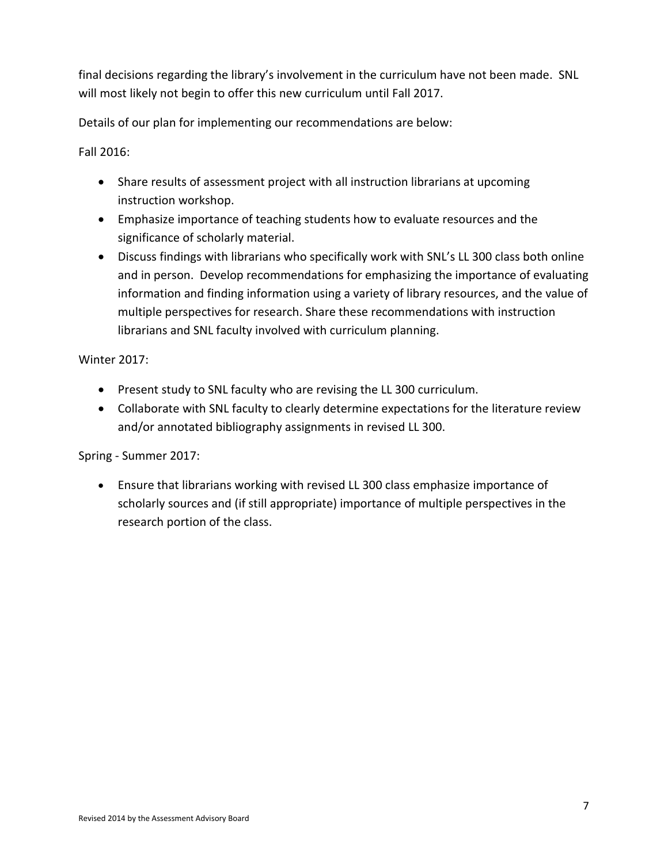final decisions regarding the library's involvement in the curriculum have not been made. SNL will most likely not begin to offer this new curriculum until Fall 2017.

Details of our plan for implementing our recommendations are below:

Fall 2016:

- Share results of assessment project with all instruction librarians at upcoming instruction workshop.
- Emphasize importance of teaching students how to evaluate resources and the significance of scholarly material.
- Discuss findings with librarians who specifically work with SNL's LL 300 class both online and in person. Develop recommendations for emphasizing the importance of evaluating information and finding information using a variety of library resources, and the value of multiple perspectives for research. Share these recommendations with instruction librarians and SNL faculty involved with curriculum planning.

Winter 2017:

- Present study to SNL faculty who are revising the LL 300 curriculum.
- Collaborate with SNL faculty to clearly determine expectations for the literature review and/or annotated bibliography assignments in revised LL 300.

Spring - Summer 2017:

• Ensure that librarians working with revised LL 300 class emphasize importance of scholarly sources and (if still appropriate) importance of multiple perspectives in the research portion of the class.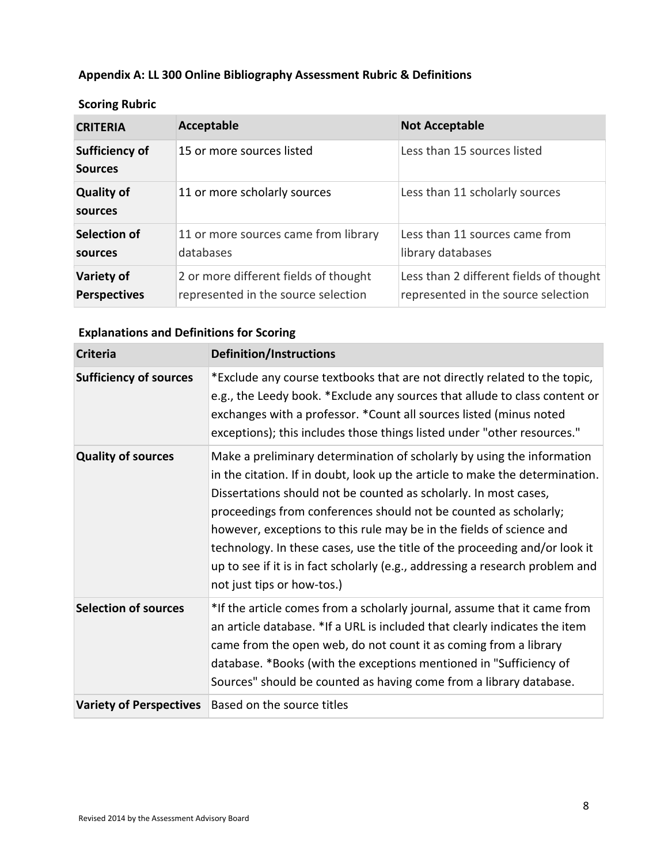# **Appendix A: LL 300 Online Bibliography Assessment Rubric & Definitions**

| <b>CRITERIA</b>                          | Acceptable                                                                   | <b>Not Acceptable</b>                                                          |
|------------------------------------------|------------------------------------------------------------------------------|--------------------------------------------------------------------------------|
| <b>Sufficiency of</b><br><b>Sources</b>  | 15 or more sources listed                                                    | Less than 15 sources listed                                                    |
| <b>Quality of</b><br>sources             | 11 or more scholarly sources                                                 | Less than 11 scholarly sources                                                 |
| Selection of<br>sources                  | 11 or more sources came from library<br>databases                            | Less than 11 sources came from<br>library databases                            |
| <b>Variety of</b><br><b>Perspectives</b> | 2 or more different fields of thought<br>represented in the source selection | Less than 2 different fields of thought<br>represented in the source selection |

# **Scoring Rubric**

# **Explanations and Definitions for Scoring**

| <b>Criteria</b>                | <b>Definition/Instructions</b>                                                                                                                                                                                                                                                                                                                                                                                                                                                                                                                                      |
|--------------------------------|---------------------------------------------------------------------------------------------------------------------------------------------------------------------------------------------------------------------------------------------------------------------------------------------------------------------------------------------------------------------------------------------------------------------------------------------------------------------------------------------------------------------------------------------------------------------|
| <b>Sufficiency of sources</b>  | *Exclude any course textbooks that are not directly related to the topic,<br>e.g., the Leedy book. *Exclude any sources that allude to class content or<br>exchanges with a professor. * Count all sources listed (minus noted<br>exceptions); this includes those things listed under "other resources."                                                                                                                                                                                                                                                           |
| <b>Quality of sources</b>      | Make a preliminary determination of scholarly by using the information<br>in the citation. If in doubt, look up the article to make the determination.<br>Dissertations should not be counted as scholarly. In most cases,<br>proceedings from conferences should not be counted as scholarly;<br>however, exceptions to this rule may be in the fields of science and<br>technology. In these cases, use the title of the proceeding and/or look it<br>up to see if it is in fact scholarly (e.g., addressing a research problem and<br>not just tips or how-tos.) |
| <b>Selection of sources</b>    | *If the article comes from a scholarly journal, assume that it came from<br>an article database. *If a URL is included that clearly indicates the item<br>came from the open web, do not count it as coming from a library<br>database. *Books (with the exceptions mentioned in "Sufficiency of<br>Sources" should be counted as having come from a library database.                                                                                                                                                                                              |
| <b>Variety of Perspectives</b> | Based on the source titles                                                                                                                                                                                                                                                                                                                                                                                                                                                                                                                                          |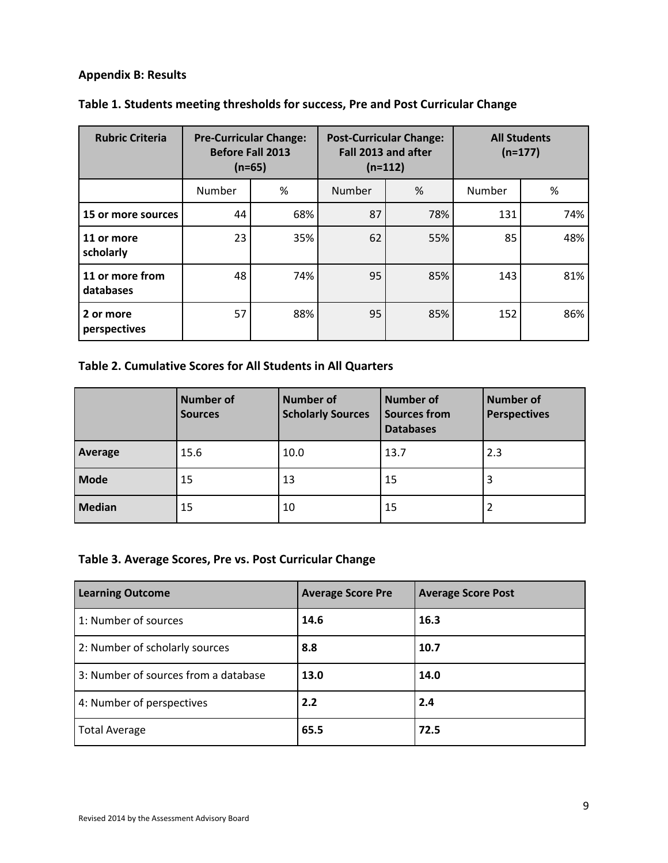# **Appendix B: Results**

| <b>Rubric Criteria</b>       | <b>Pre-Curricular Change:</b><br><b>Before Fall 2013</b><br>$(n=65)$ | <b>All Students</b><br><b>Post-Curricular Change:</b><br>Fall 2013 and after<br>$(n=177)$<br>$(n=112)$ |        |     |        |     |
|------------------------------|----------------------------------------------------------------------|--------------------------------------------------------------------------------------------------------|--------|-----|--------|-----|
|                              | Number                                                               | %                                                                                                      | Number | %   | Number | %   |
| 15 or more sources           | 44                                                                   | 68%                                                                                                    | 87     | 78% | 131    | 74% |
| 11 or more<br>scholarly      | 23                                                                   | 35%                                                                                                    | 62     | 55% | 85     | 48% |
| 11 or more from<br>databases | 48                                                                   | 74%                                                                                                    | 95     | 85% | 143    | 81% |
| 2 or more<br>perspectives    | 57                                                                   | 88%                                                                                                    | 95     | 85% | 152    | 86% |

# **Table 1. Students meeting thresholds for success, Pre and Post Curricular Change**

# **Table 2. Cumulative Scores for All Students in All Quarters**

|               | <b>Number of</b><br><b>Sources</b> | <b>Number of</b><br><b>Scholarly Sources</b> | <b>Number of</b><br><b>Sources from</b><br><b>Databases</b> | <b>Number of</b><br><b>Perspectives</b> |
|---------------|------------------------------------|----------------------------------------------|-------------------------------------------------------------|-----------------------------------------|
| Average       | 15.6                               | 10.0                                         | 13.7                                                        | 2.3                                     |
| <b>Mode</b>   | 15                                 | 13                                           | 15                                                          | 3                                       |
| <b>Median</b> | 15                                 | 10                                           | 15                                                          |                                         |

# **Table 3. Average Scores, Pre vs. Post Curricular Change**

| <b>Learning Outcome</b>              | <b>Average Score Pre</b> | <b>Average Score Post</b> |
|--------------------------------------|--------------------------|---------------------------|
| 1: Number of sources                 | 14.6                     | 16.3                      |
| 2: Number of scholarly sources       | 8.8                      | 10.7                      |
| 3: Number of sources from a database | 13.0                     | 14.0                      |
| 4: Number of perspectives            | 2.2                      | 2.4                       |
| <b>Total Average</b>                 | 65.5                     | 72.5                      |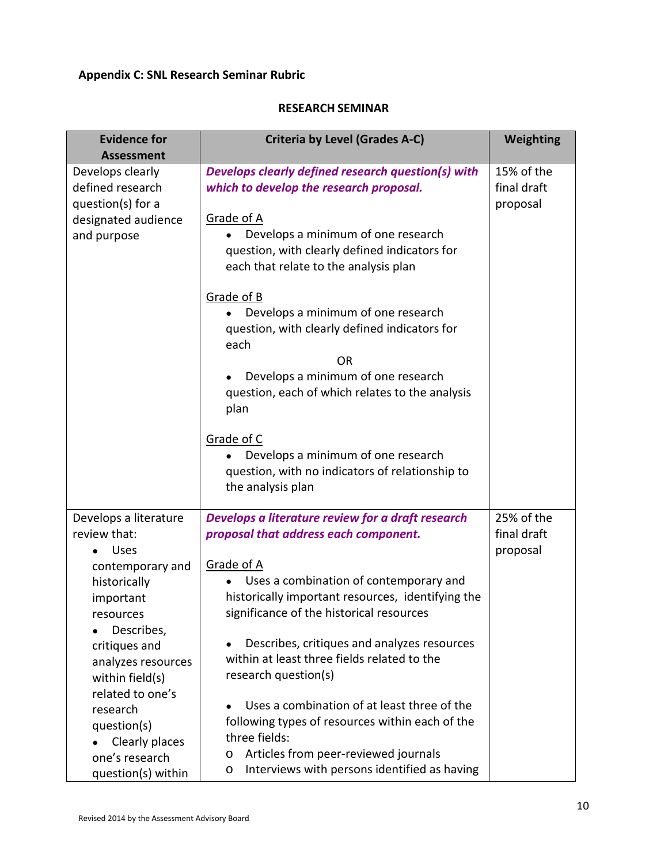# **Appendix C: SNL Research Seminar Rubric**

#### **RESEARCH SEMINAR**

| <b>Evidence for</b><br><b>Assessment</b>                                                                                                                                                                                                                                                            | <b>Criteria by Level (Grades A-C)</b>                                                                                                                                                                                                                                                                                                                                                                                                                                                                                                                                                          | Weighting                             |
|-----------------------------------------------------------------------------------------------------------------------------------------------------------------------------------------------------------------------------------------------------------------------------------------------------|------------------------------------------------------------------------------------------------------------------------------------------------------------------------------------------------------------------------------------------------------------------------------------------------------------------------------------------------------------------------------------------------------------------------------------------------------------------------------------------------------------------------------------------------------------------------------------------------|---------------------------------------|
| Develops clearly<br>defined research<br>question(s) for a<br>designated audience<br>and purpose                                                                                                                                                                                                     | Develops clearly defined research question(s) with<br>which to develop the research proposal.<br>Grade of A<br>Develops a minimum of one research<br>question, with clearly defined indicators for<br>each that relate to the analysis plan<br>Grade of B<br>Develops a minimum of one research<br>question, with clearly defined indicators for<br>each<br><b>OR</b><br>Develops a minimum of one research<br>question, each of which relates to the analysis<br>plan<br>Grade of C<br>Develops a minimum of one research                                                                     | 15% of the<br>final draft<br>proposal |
|                                                                                                                                                                                                                                                                                                     | question, with no indicators of relationship to<br>the analysis plan                                                                                                                                                                                                                                                                                                                                                                                                                                                                                                                           |                                       |
| Develops a literature<br>review that:<br><b>Uses</b><br>contemporary and<br>historically<br>important<br>resources<br>Describes,<br>critiques and<br>analyzes resources<br>within field(s)<br>related to one's<br>research<br>question(s)<br>Clearly places<br>one's research<br>question(s) within | Develops a literature review for a draft research<br>proposal that address each component.<br>Grade of A<br>Uses a combination of contemporary and<br>historically important resources, identifying the<br>significance of the historical resources<br>Describes, critiques and analyzes resources<br>within at least three fields related to the<br>research question(s)<br>Uses a combination of at least three of the<br>following types of resources within each of the<br>three fields:<br>Articles from peer-reviewed journals<br>o<br>Interviews with persons identified as having<br>o | 25% of the<br>final draft<br>proposal |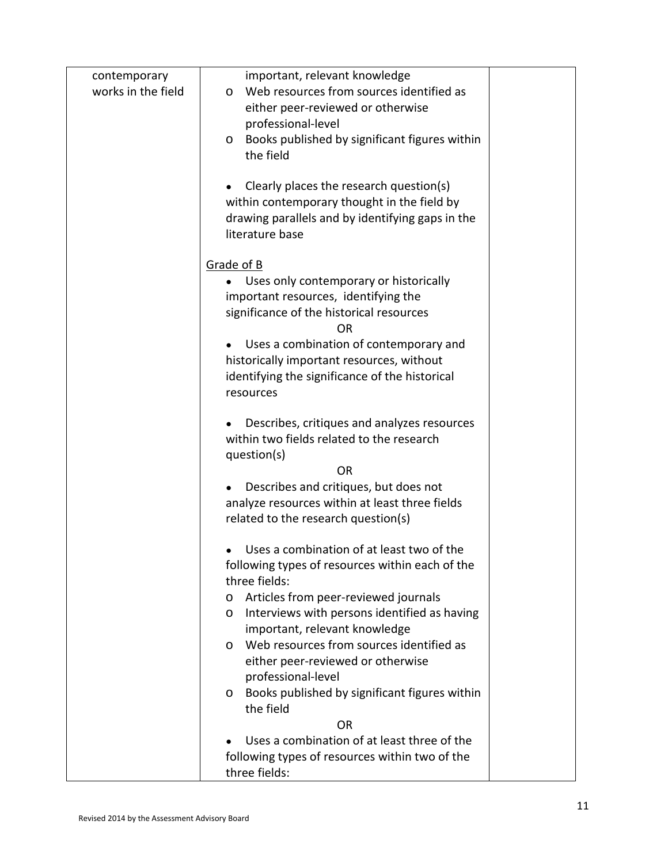| contemporary       | important, relevant knowledge                                                               |  |
|--------------------|---------------------------------------------------------------------------------------------|--|
| works in the field | Web resources from sources identified as<br>0                                               |  |
|                    | either peer-reviewed or otherwise                                                           |  |
|                    | professional-level                                                                          |  |
|                    | Books published by significant figures within<br>0                                          |  |
|                    | the field                                                                                   |  |
|                    | Clearly places the research question(s)                                                     |  |
|                    | within contemporary thought in the field by                                                 |  |
|                    | drawing parallels and by identifying gaps in the                                            |  |
|                    | literature base                                                                             |  |
|                    |                                                                                             |  |
|                    | Grade of B                                                                                  |  |
|                    | Uses only contemporary or historically                                                      |  |
|                    | important resources, identifying the                                                        |  |
|                    | significance of the historical resources                                                    |  |
|                    | <b>OR</b>                                                                                   |  |
|                    | Uses a combination of contemporary and                                                      |  |
|                    | historically important resources, without<br>identifying the significance of the historical |  |
|                    | resources                                                                                   |  |
|                    |                                                                                             |  |
|                    | Describes, critiques and analyzes resources                                                 |  |
|                    | within two fields related to the research                                                   |  |
|                    | question(s)                                                                                 |  |
|                    | <b>OR</b>                                                                                   |  |
|                    | Describes and critiques, but does not                                                       |  |
|                    | analyze resources within at least three fields                                              |  |
|                    | related to the research question(s)                                                         |  |
|                    | Uses a combination of at least two of the                                                   |  |
|                    | following types of resources within each of the                                             |  |
|                    | three fields:                                                                               |  |
|                    | Articles from peer-reviewed journals<br>o                                                   |  |
|                    | Interviews with persons identified as having<br>0                                           |  |
|                    | important, relevant knowledge                                                               |  |
|                    | Web resources from sources identified as<br>0                                               |  |
|                    | either peer-reviewed or otherwise                                                           |  |
|                    | professional-level                                                                          |  |
|                    | Books published by significant figures within<br>0                                          |  |
|                    | the field                                                                                   |  |
|                    | <b>OR</b><br>Uses a combination of at least three of the                                    |  |
|                    | following types of resources within two of the                                              |  |
|                    | three fields:                                                                               |  |
|                    |                                                                                             |  |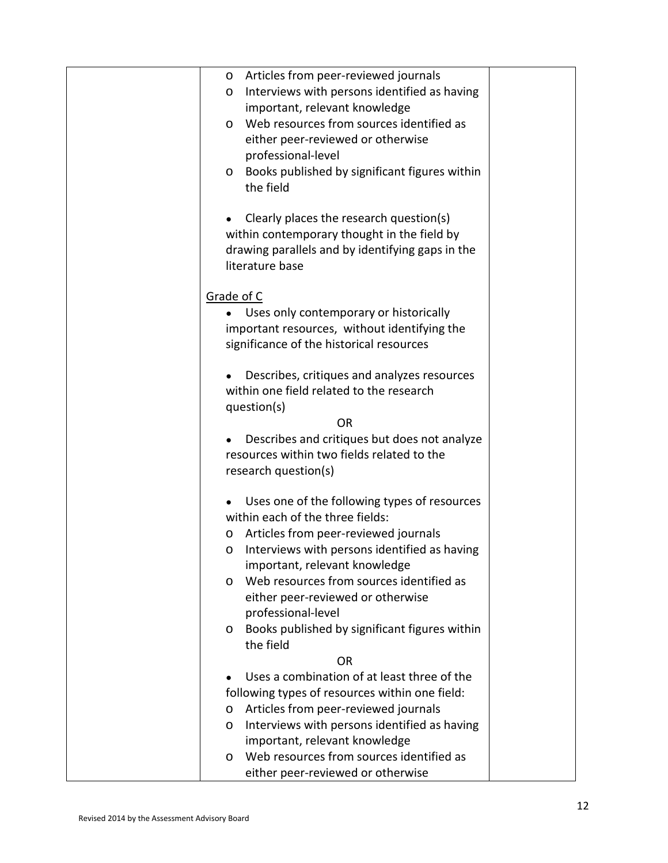| Articles from peer-reviewed journals<br>0            |  |
|------------------------------------------------------|--|
| Interviews with persons identified as having<br>O    |  |
| important, relevant knowledge                        |  |
| Web resources from sources identified as<br>$\Omega$ |  |
| either peer-reviewed or otherwise                    |  |
| professional-level                                   |  |
| Books published by significant figures within<br>O   |  |
| the field                                            |  |
|                                                      |  |
| Clearly places the research question(s)              |  |
| within contemporary thought in the field by          |  |
| drawing parallels and by identifying gaps in the     |  |
| literature base                                      |  |
|                                                      |  |
| Grade of C                                           |  |
| Uses only contemporary or historically               |  |
| important resources, without identifying the         |  |
| significance of the historical resources             |  |
|                                                      |  |
| Describes, critiques and analyzes resources          |  |
| within one field related to the research             |  |
| question(s)                                          |  |
| <b>OR</b>                                            |  |
| Describes and critiques but does not analyze         |  |
| resources within two fields related to the           |  |
| research question(s)                                 |  |
|                                                      |  |
| Uses one of the following types of resources         |  |
| within each of the three fields:                     |  |
| Articles from peer-reviewed journals<br>O            |  |
| Interviews with persons identified as having<br>0    |  |
| important, relevant knowledge                        |  |
| Web resources from sources identified as<br>Ω        |  |
| either peer-reviewed or otherwise                    |  |
| professional-level                                   |  |
| Books published by significant figures within<br>O   |  |
| the field                                            |  |
| <b>OR</b>                                            |  |
| Uses a combination of at least three of the          |  |
| following types of resources within one field:       |  |
| Articles from peer-reviewed journals<br>O            |  |
| Interviews with persons identified as having<br>O    |  |
| important, relevant knowledge                        |  |
| Web resources from sources identified as<br>O        |  |
|                                                      |  |
| either peer-reviewed or otherwise                    |  |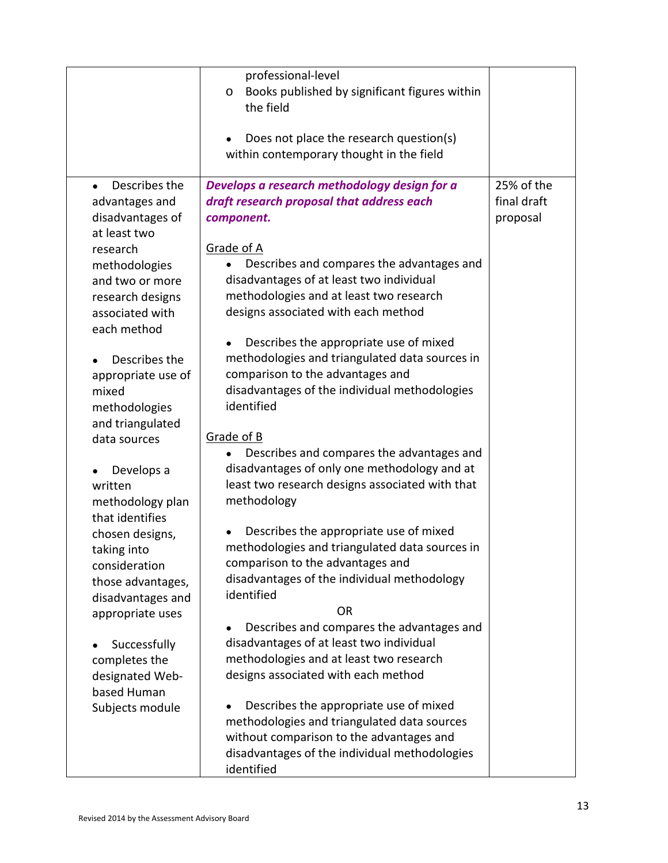|                                                                                                                                                                                                                                    | professional-level<br>Books published by significant figures within<br>O<br>the field<br>Does not place the research question(s)<br>within contemporary thought in the field                                                                                                                                                                                                                                                                                                      |                                       |
|------------------------------------------------------------------------------------------------------------------------------------------------------------------------------------------------------------------------------------|-----------------------------------------------------------------------------------------------------------------------------------------------------------------------------------------------------------------------------------------------------------------------------------------------------------------------------------------------------------------------------------------------------------------------------------------------------------------------------------|---------------------------------------|
| Describes the<br>advantages and<br>disadvantages of<br>at least two<br>research<br>methodologies<br>and two or more<br>research designs<br>associated with<br>each method<br>Describes the<br>appropriate use of<br>mixed          | Develops a research methodology design for a<br>draft research proposal that address each<br>component.<br>Grade of A<br>Describes and compares the advantages and<br>disadvantages of at least two individual<br>methodologies and at least two research<br>designs associated with each method<br>Describes the appropriate use of mixed<br>methodologies and triangulated data sources in<br>comparison to the advantages and<br>disadvantages of the individual methodologies | 25% of the<br>final draft<br>proposal |
| methodologies<br>and triangulated<br>data sources<br>Develops a<br>written<br>methodology plan<br>that identifies<br>chosen designs,<br>taking into<br>consideration<br>those advantages,<br>disadvantages and<br>appropriate uses | identified<br>Grade of B<br>Describes and compares the advantages and<br>disadvantages of only one methodology and at<br>least two research designs associated with that<br>methodology<br>Describes the appropriate use of mixed<br>methodologies and triangulated data sources in<br>comparison to the advantages and<br>disadvantages of the individual methodology<br>identified<br><b>OR</b><br>Describes and compares the advantages and                                    |                                       |
| Successfully<br>completes the<br>designated Web-<br>based Human<br>Subjects module                                                                                                                                                 | disadvantages of at least two individual<br>methodologies and at least two research<br>designs associated with each method<br>Describes the appropriate use of mixed<br>methodologies and triangulated data sources<br>without comparison to the advantages and<br>disadvantages of the individual methodologies<br>identified                                                                                                                                                    |                                       |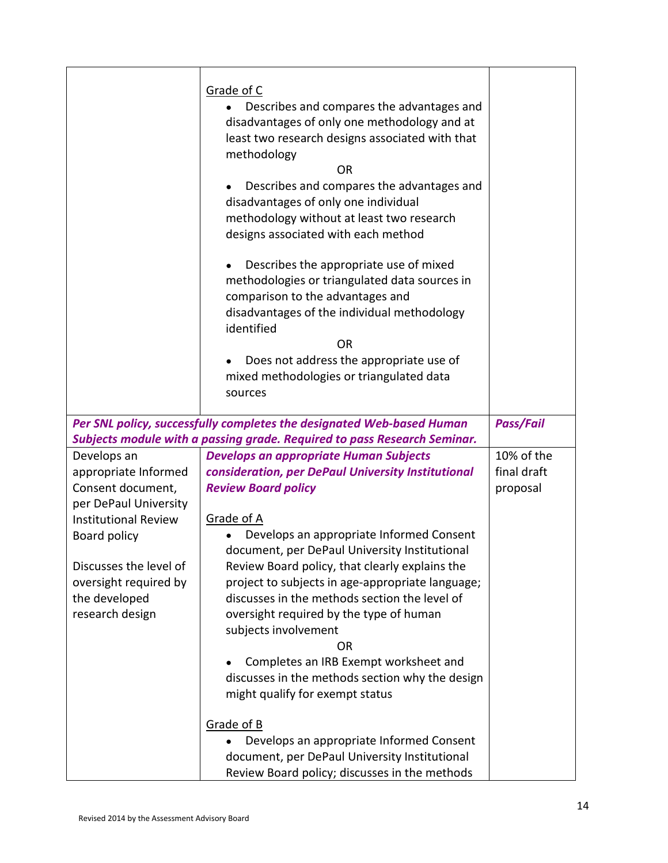|                                                                                                                                                                                                                         | Grade of C<br>Describes and compares the advantages and<br>disadvantages of only one methodology and at<br>least two research designs associated with that<br>methodology<br>OR<br>Describes and compares the advantages and<br>disadvantages of only one individual<br>methodology without at least two research<br>designs associated with each method<br>Describes the appropriate use of mixed<br>methodologies or triangulated data sources in<br>comparison to the advantages and<br>disadvantages of the individual methodology<br>identified<br><b>OR</b><br>Does not address the appropriate use of<br>mixed methodologies or triangulated data<br>sources   |                                       |
|-------------------------------------------------------------------------------------------------------------------------------------------------------------------------------------------------------------------------|-----------------------------------------------------------------------------------------------------------------------------------------------------------------------------------------------------------------------------------------------------------------------------------------------------------------------------------------------------------------------------------------------------------------------------------------------------------------------------------------------------------------------------------------------------------------------------------------------------------------------------------------------------------------------|---------------------------------------|
|                                                                                                                                                                                                                         | Per SNL policy, successfully completes the designated Web-based Human<br>Subjects module with a passing grade. Required to pass Research Seminar.                                                                                                                                                                                                                                                                                                                                                                                                                                                                                                                     | <b>Pass/Fail</b>                      |
| Develops an<br>appropriate Informed<br>Consent document,<br>per DePaul University<br><b>Institutional Review</b><br>Board policy<br>Discusses the level of<br>oversight required by<br>the developed<br>research design | <b>Develops an appropriate Human Subjects</b><br>consideration, per DePaul University Institutional<br><b>Review Board policy</b><br>Grade of A<br>Develops an appropriate Informed Consent<br>document, per DePaul University Institutional<br>Review Board policy, that clearly explains the<br>project to subjects in age-appropriate language;<br>discusses in the methods section the level of<br>oversight required by the type of human<br>subjects involvement<br>OR<br>Completes an IRB Exempt worksheet and<br>discusses in the methods section why the design<br>might qualify for exempt status<br>Grade of B<br>Develops an appropriate Informed Consent | 10% of the<br>final draft<br>proposal |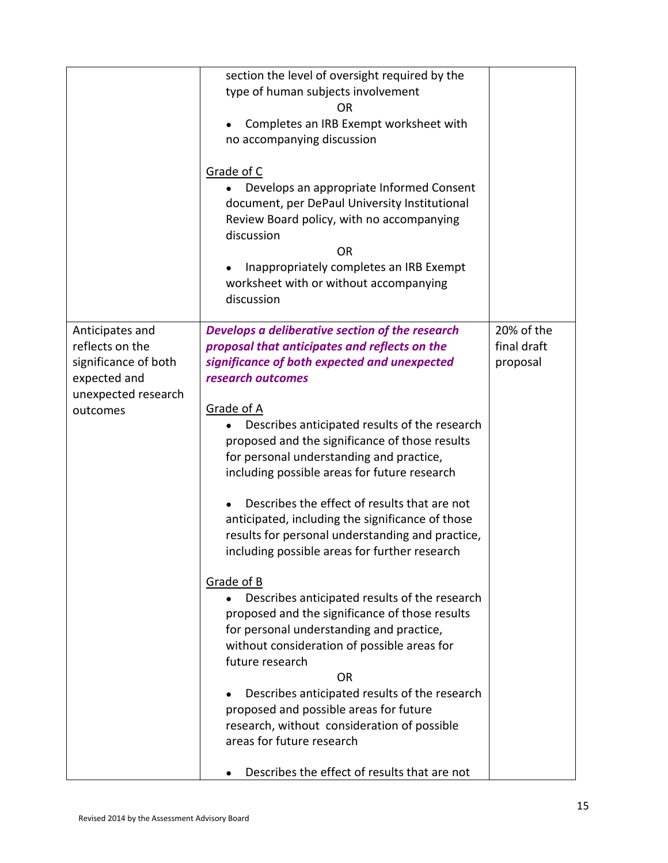|                                                                                                               | section the level of oversight required by the<br>type of human subjects involvement<br>ΟR<br>Completes an IRB Exempt worksheet with<br>no accompanying discussion<br>Grade of C<br>Develops an appropriate Informed Consent<br>document, per DePaul University Institutional<br>Review Board policy, with no accompanying<br>discussion<br><b>OR</b><br>Inappropriately completes an IRB Exempt<br>worksheet with or without accompanying<br>discussion                                                                                                                                                                                                                                                                                                                                                                                                                                                                                                                                                                                                       |                                       |
|---------------------------------------------------------------------------------------------------------------|----------------------------------------------------------------------------------------------------------------------------------------------------------------------------------------------------------------------------------------------------------------------------------------------------------------------------------------------------------------------------------------------------------------------------------------------------------------------------------------------------------------------------------------------------------------------------------------------------------------------------------------------------------------------------------------------------------------------------------------------------------------------------------------------------------------------------------------------------------------------------------------------------------------------------------------------------------------------------------------------------------------------------------------------------------------|---------------------------------------|
| Anticipates and<br>reflects on the<br>significance of both<br>expected and<br>unexpected research<br>outcomes | Develops a deliberative section of the research<br>proposal that anticipates and reflects on the<br>significance of both expected and unexpected<br>research outcomes<br>Grade of A<br>Describes anticipated results of the research<br>proposed and the significance of those results<br>for personal understanding and practice,<br>including possible areas for future research<br>Describes the effect of results that are not<br>anticipated, including the significance of those<br>results for personal understanding and practice,<br>including possible areas for further research<br>Grade of B<br>Describes anticipated results of the research<br>proposed and the significance of those results<br>for personal understanding and practice,<br>without consideration of possible areas for<br>future research<br><b>OR</b><br>Describes anticipated results of the research<br>proposed and possible areas for future<br>research, without consideration of possible<br>areas for future research<br>Describes the effect of results that are not | 20% of the<br>final draft<br>proposal |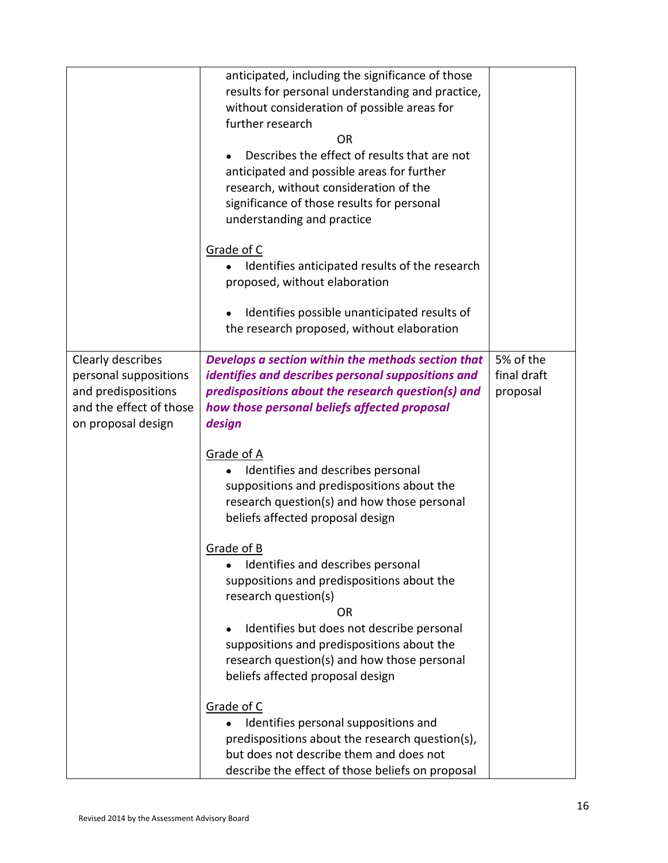|                                                                                                                    | anticipated, including the significance of those<br>results for personal understanding and practice,<br>without consideration of possible areas for<br>further research<br>OR<br>Describes the effect of results that are not<br>anticipated and possible areas for further<br>research, without consideration of the<br>significance of those results for personal<br>understanding and practice<br>Grade of C<br>Identifies anticipated results of the research<br>proposed, without elaboration<br>Identifies possible unanticipated results of<br>the research proposed, without elaboration                                                                                                                                                                                                                                   |                                      |
|--------------------------------------------------------------------------------------------------------------------|------------------------------------------------------------------------------------------------------------------------------------------------------------------------------------------------------------------------------------------------------------------------------------------------------------------------------------------------------------------------------------------------------------------------------------------------------------------------------------------------------------------------------------------------------------------------------------------------------------------------------------------------------------------------------------------------------------------------------------------------------------------------------------------------------------------------------------|--------------------------------------|
| Clearly describes<br>personal suppositions<br>and predispositions<br>and the effect of those<br>on proposal design | Develops a section within the methods section that<br>identifies and describes personal suppositions and<br>predispositions about the research question(s) and<br>how those personal beliefs affected proposal<br>design<br>Grade of A<br>Identifies and describes personal<br>suppositions and predispositions about the<br>research question(s) and how those personal<br>beliefs affected proposal design<br>Grade of B<br>Identifies and describes personal<br>suppositions and predispositions about the<br>research question(s)<br>OR<br>Identifies but does not describe personal<br>suppositions and predispositions about the<br>research question(s) and how those personal<br>beliefs affected proposal design<br>Grade of C<br>Identifies personal suppositions and<br>predispositions about the research question(s), | 5% of the<br>final draft<br>proposal |
|                                                                                                                    | but does not describe them and does not<br>describe the effect of those beliefs on proposal                                                                                                                                                                                                                                                                                                                                                                                                                                                                                                                                                                                                                                                                                                                                        |                                      |